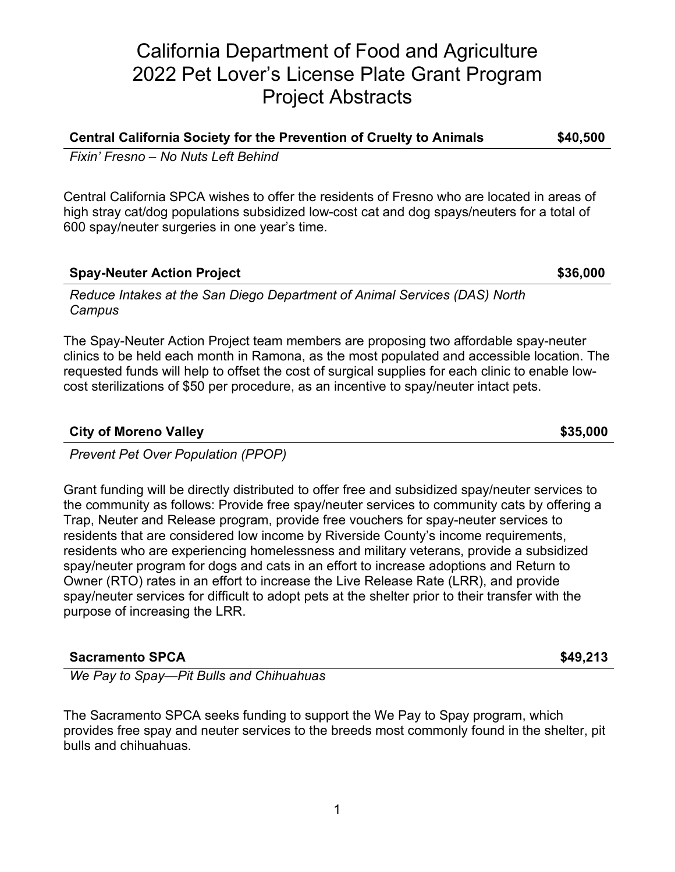# California Department of Food and Agriculture 2022 Pet Lover's License Plate Grant Program Project Abstracts

## **Central California Society for the Prevention of Cruelty to Animals \$40,500**

*Fixin' Fresno – No Nuts Left Behind*

Central California SPCA wishes to offer the residents of Fresno who are located in areas of high stray cat/dog populations subsidized low-cost cat and dog spays/neuters for a total of 600 spay/neuter surgeries in one year's time.

### **Spay-Neuter Action Project 6000 \$36,000 \$36,000**

*Reduce Intakes at the San Diego Department of Animal Services (DAS) North Campus*

The Spay-Neuter Action Project team members are proposing two affordable spay-neuter clinics to be held each month in Ramona, as the most populated and accessible location. The requested funds will help to offset the cost of surgical supplies for each clinic to enable lowcost sterilizations of \$50 per procedure, as an incentive to spay/neuter intact pets.

### **City of Moreno Valley 635,000**

*Prevent Pet Over Population (PPOP)*

Grant funding will be directly distributed to offer free and subsidized spay/neuter services to the community as follows: Provide free spay/neuter services to community cats by offering a Trap, Neuter and Release program, provide free vouchers for spay-neuter services to residents that are considered low income by Riverside County's income requirements, residents who are experiencing homelessness and military veterans, provide a subsidized spay/neuter program for dogs and cats in an effort to increase adoptions and Return to Owner (RTO) rates in an effort to increase the Live Release Rate (LRR), and provide spay/neuter services for difficult to adopt pets at the shelter prior to their transfer with the purpose of increasing the LRR.

### **Sacramento SPCA \$49,213**

*We Pay to Spay—Pit Bulls and Chihuahuas*

The Sacramento SPCA seeks funding to support the We Pay to Spay program, which provides free spay and neuter services to the breeds most commonly found in the shelter, pit bulls and chihuahuas.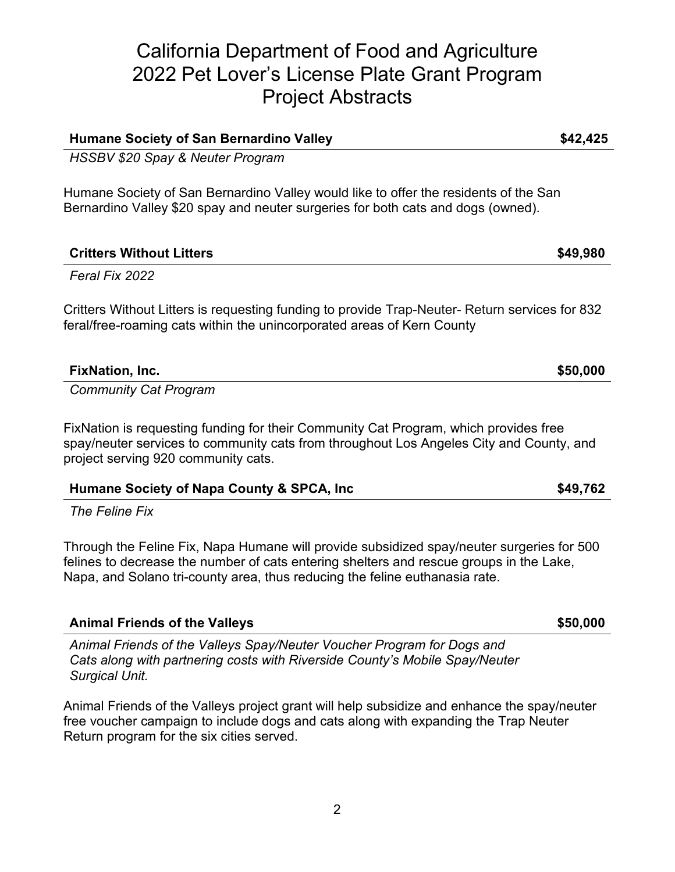# California Department of Food and Agriculture 2022 Pet Lover's License Plate Grant Program Project Abstracts

**Humane Society of San Bernardino Valley \$42,425**

Humane Society of San Bernardino Valley would like to offer the residents of the San

| Bernardino Valley \$20 spay and neuter surgeries for both cats and dogs (owned).                                                                                         |          |
|--------------------------------------------------------------------------------------------------------------------------------------------------------------------------|----------|
| <b>Critters Without Litters</b>                                                                                                                                          | \$49,980 |
| Feral Fix 2022                                                                                                                                                           |          |
| Critters Without Litters is requesting funding to provide Trap-Neuter- Return services for 832<br>feral/free-roaming cats within the unincorporated areas of Kern County |          |
| <b>FixNation, Inc.</b>                                                                                                                                                   | \$50,000 |
| <b>Community Cat Program</b>                                                                                                                                             |          |
|                                                                                                                                                                          |          |

FixNation is requesting funding for their Community Cat Program, which provides free spay/neuter services to community cats from throughout Los Angeles City and County, and project serving 920 community cats.

| Humane Society of Napa County & SPCA, Inc. | \$49,762 |
|--------------------------------------------|----------|
|                                            |          |

*The Feline Fix*

*HSSBV \$20 Spay & Neuter Program*

Through the Feline Fix, Napa Humane will provide subsidized spay/neuter surgeries for 500 felines to decrease the number of cats entering shelters and rescue groups in the Lake, Napa, and Solano tri-county area, thus reducing the feline euthanasia rate.

| Animal Friends of the Valleys Spay/Neuter Voucher Program for Dogs and      |
|-----------------------------------------------------------------------------|
| Cats along with partnering costs with Riverside County's Mobile Spay/Neuter |
| Surgical Unit.                                                              |

Animal Friends of the Valleys project grant will help subsidize and enhance the spay/neuter free voucher campaign to include dogs and cats along with expanding the Trap Neuter Return program for the six cities served.

**Animal Friends of the Valleys \$50,000**